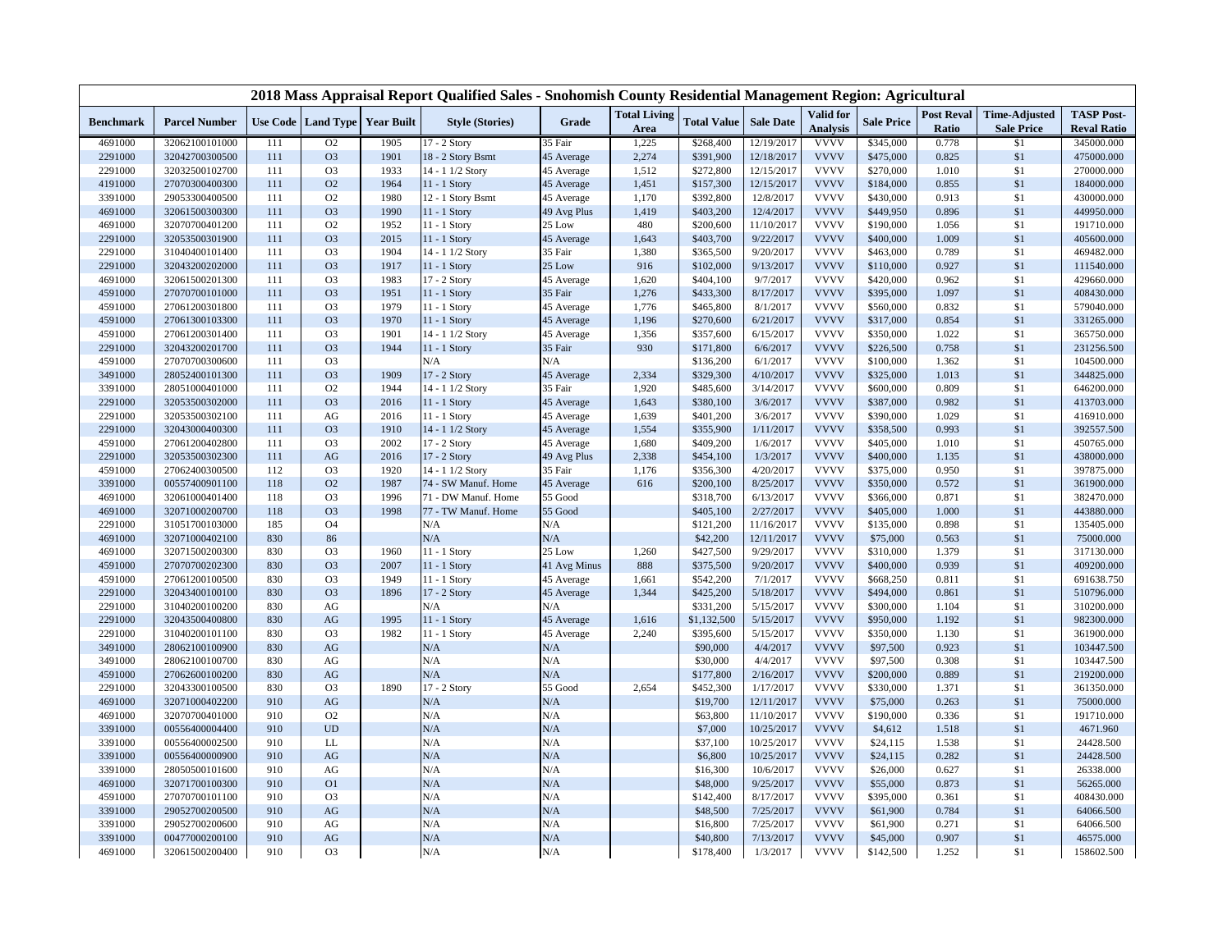|                  |                      |     |                               |      |                        | 2018 Mass Appraisal Report Qualified Sales - Snohomish County Residential Management Region: Agricultural |                     |                    |                  |                 |                   |                   |                      |                    |
|------------------|----------------------|-----|-------------------------------|------|------------------------|-----------------------------------------------------------------------------------------------------------|---------------------|--------------------|------------------|-----------------|-------------------|-------------------|----------------------|--------------------|
| <b>Benchmark</b> | <b>Parcel Number</b> |     | Use Code Land Type Year Built |      | <b>Style (Stories)</b> | Grade                                                                                                     | <b>Total Living</b> | <b>Total Value</b> | <b>Sale Date</b> | Valid for       | <b>Sale Price</b> | <b>Post Reval</b> | <b>Time-Adjusted</b> | <b>TASP Post-</b>  |
|                  |                      |     |                               |      |                        |                                                                                                           | Area                |                    |                  | <b>Analysis</b> |                   | Ratio             | <b>Sale Price</b>    | <b>Reval Ratio</b> |
| 4691000          | 32062100101000       | 111 | O <sub>2</sub>                | 1905 | $17 - 2$ Story         | 35 Fair                                                                                                   | 1,225               | \$268,400          | 12/19/2017       | <b>VVVV</b>     | \$345,000         | 0.778             | \$1                  | 345000.000         |
| 2291000          | 32042700300500       | 111 | O <sub>3</sub>                | 1901 | 18 - 2 Story Bsmt      | 45 Average                                                                                                | 2,274               | \$391,900          | 12/18/2017       | <b>VVVV</b>     | \$475,000         | 0.825             | \$1                  | 475000.000         |
| 2291000          | 32032500102700       | 111 | O <sub>3</sub>                | 1933 | 14 - 1 1/2 Story       | 45 Average                                                                                                | 1,512               | \$272,800          | 12/15/2017       | <b>VVVV</b>     | \$270,000         | 1.010             | \$1                  | 270000.000         |
| 4191000          | 27070300400300       | 111 | O2                            | 1964 | $11 - 1$ Story         | 45 Average                                                                                                | 1,451               | \$157,300          | 12/15/2017       | <b>VVVV</b>     | \$184,000         | 0.855             | \$1                  | 184000.000         |
| 3391000          | 29053300400500       | 111 | O <sub>2</sub>                | 1980 | 12 - 1 Story Bsmt      | 45 Average                                                                                                | 1,170               | \$392,800          | 12/8/2017        | <b>VVVV</b>     | \$430,000         | 0.913             | \$1                  | 430000.000         |
| 4691000          | 32061500300300       | 111 | O <sub>3</sub>                | 1990 | 11 - 1 Story           | 49 Avg Plus                                                                                               | 1,419               | \$403,200          | 12/4/2017        | <b>VVVV</b>     | \$449,950         | 0.896             | \$1                  | 449950.000         |
| 4691000          | 32070700401200       | 111 | O <sub>2</sub>                | 1952 | $11 - 1$ Story         | 25 Low                                                                                                    | 480                 | \$200,600          | 11/10/2017       | <b>VVVV</b>     | \$190,000         | 1.056             | \$1                  | 191710.000         |
| 2291000          | 32053500301900       | 111 | O <sub>3</sub>                | 2015 | 11 - 1 Story           | 45 Average                                                                                                | 1,643               | \$403,700          | 9/22/2017        | <b>VVVV</b>     | \$400,000         | 1.009             | \$1                  | 405600.000         |
| 2291000          | 31040400101400       | 111 | O <sub>3</sub>                | 1904 | 14 - 1 1/2 Story       | 35 Fair                                                                                                   | 1,380               | \$365,500          | 9/20/2017        | <b>VVVV</b>     | \$463,000         | 0.789             | \$1                  | 469482.000         |
| 2291000          | 32043200202000       | 111 | O <sub>3</sub>                | 1917 | 11 - 1 Story           | 25 Low                                                                                                    | 916                 | \$102,000          | 9/13/2017        | <b>VVVV</b>     | \$110,000         | 0.927             | \$1                  | 111540.000         |
| 4691000          | 32061500201300       | 111 | O <sub>3</sub>                | 1983 | 17 - 2 Story           | 45 Average                                                                                                | 1,620               | \$404,100          | 9/7/2017         | <b>VVVV</b>     | \$420,000         | 0.962             | \$1                  | 429660.000         |
| 4591000          | 27070700101000       | 111 | O <sub>3</sub>                | 1951 | 11 - 1 Story           | 35 Fair                                                                                                   | 1,276               | \$433,300          | 8/17/2017        | <b>VVVV</b>     | \$395,000         | 1.097             | \$1                  | 408430.000         |
| 4591000          | 27061200301800       | 111 | O <sub>3</sub>                | 1979 | $11 - 1$ Story         | 45 Average                                                                                                | 1,776               | \$465,800          | 8/1/2017         | <b>VVVV</b>     | \$560,000         | 0.832             | \$1                  | 579040.000         |
| 4591000          | 27061300103300       | 111 | O <sub>3</sub>                | 1970 | 11 - 1 Story           | 45 Average                                                                                                | 1,196               | \$270,600          | 6/21/2017        | <b>VVVV</b>     | \$317,000         | 0.854             | \$1                  | 331265.000         |
| 4591000          | 27061200301400       | 111 | O <sub>3</sub>                | 1901 | 14 - 1 1/2 Story       | 45 Average                                                                                                | 1,356               | \$357,600          | 6/15/2017        | <b>VVVV</b>     | \$350,000         | 1.022             | \$1                  | 365750.000         |
| 2291000          | 32043200201700       | 111 | O <sub>3</sub>                | 1944 | 11 - 1 Story           | 35 Fair                                                                                                   | 930                 | \$171,800          | 6/6/2017         | <b>VVVV</b>     | \$226,500         | 0.758             | \$1                  | 231256.500         |
| 4591000          | 27070700300600       | 111 | O <sub>3</sub>                |      | N/A                    | N/A                                                                                                       |                     | \$136,200          | 6/1/2017         | <b>VVVV</b>     | \$100,000         | 1.362             | \$1                  | 104500.000         |
| 3491000          | 28052400101300       | 111 | O <sub>3</sub>                | 1909 | 17 - 2 Story           | 45 Average                                                                                                | 2,334               | \$329,300          | 4/10/2017        | <b>VVVV</b>     | \$325,000         | 1.013             | \$1                  | 344825.000         |
| 3391000          | 28051000401000       | 111 | O <sub>2</sub>                | 1944 | 14 - 1 1/2 Story       | 35 Fair                                                                                                   | 1,920               | \$485,600          | 3/14/2017        | <b>VVVV</b>     | \$600,000         | 0.809             | \$1                  | 646200.000         |
| 2291000          | 32053500302000       | 111 | O <sub>3</sub>                | 2016 | $11 - 1$ Story         | 45 Average                                                                                                | 1,643               | \$380,100          | 3/6/2017         | <b>VVVV</b>     | \$387,000         | 0.982             | \$1                  | 413703.000         |
| 2291000          | 32053500302100       | 111 | AG                            | 2016 | $11 - 1$ Story         | 45 Average                                                                                                | 1,639               | \$401,200          | 3/6/2017         | <b>VVVV</b>     | \$390,000         | 1.029             | \$1                  | 416910.000         |
| 2291000          | 32043000400300       | 111 | O <sub>3</sub>                | 1910 | 14 - 1 1/2 Story       | 45 Average                                                                                                | 1,554               | \$355,900          | 1/11/2017        | <b>VVVV</b>     | \$358,500         | 0.993             | \$1                  | 392557.500         |
| 4591000          | 27061200402800       | 111 | O <sub>3</sub>                | 2002 | 17 - 2 Story           | 45 Average                                                                                                | 1,680               | \$409,200          | 1/6/2017         | <b>VVVV</b>     | \$405,000         | 1.010             | \$1                  | 450765.000         |
| 2291000          | 32053500302300       | 111 | AG                            | 2016 | 17 - 2 Story           | 49 Avg Plus                                                                                               | 2,338               | \$454,100          | 1/3/2017         | <b>VVVV</b>     | \$400,000         | 1.135             | \$1                  | 438000.000         |
| 4591000          | 27062400300500       | 112 | O <sub>3</sub>                | 1920 | 14 - 1 1/2 Story       | 35 Fair                                                                                                   | 1,176               | \$356,300          | 4/20/2017        | <b>VVVV</b>     | \$375,000         | 0.950             | \$1                  | 397875.000         |
| 3391000          | 00557400901100       | 118 | O2                            | 1987 | 74 - SW Manuf. Home    | 45 Average                                                                                                | 616                 | \$200,100          | 8/25/2017        | <b>VVVV</b>     | \$350,000         | 0.572             | \$1                  | 361900.000         |
| 4691000          | 32061000401400       | 118 | O <sub>3</sub>                | 1996 | 71 - DW Manuf. Home    | 55 Good                                                                                                   |                     | \$318,700          | 6/13/2017        | <b>VVVV</b>     | \$366,000         | 0.871             | \$1                  | 382470.000         |
| 4691000          | 32071000200700       | 118 | O <sub>3</sub>                | 1998 | 77 - TW Manuf. Home    | 55 Good                                                                                                   |                     | \$405,100          | 2/27/2017        | <b>VVVV</b>     | \$405,000         | 1.000             | \$1                  | 443880.000         |
| 2291000          | 31051700103000       | 185 | O <sub>4</sub>                |      | N/A                    | N/A                                                                                                       |                     | \$121,200          | 11/16/2017       | <b>VVVV</b>     | \$135,000         | 0.898             | \$1                  | 135405.000         |
| 4691000          | 32071000402100       | 830 | 86                            |      | N/A                    | N/A                                                                                                       |                     | \$42,200           | 12/11/2017       | <b>VVVV</b>     | \$75,000          | 0.563             | \$1                  | 75000.000          |
| 4691000          | 32071500200300       | 830 | O <sub>3</sub>                | 1960 | $11 - 1$ Story         | 25 Low                                                                                                    | 1,260               | \$427,500          | 9/29/2017        | <b>VVVV</b>     | \$310,000         | 1.379             | \$1                  | 317130.000         |
| 4591000          | 27070700202300       | 830 | O <sub>3</sub>                | 2007 | $11 - 1$ Story         | 41 Avg Minus                                                                                              | 888                 | \$375,500          | 9/20/2017        | <b>VVVV</b>     | \$400,000         | 0.939             | \$1                  | 409200.000         |
| 4591000          | 27061200100500       | 830 | O <sub>3</sub>                | 1949 | 11 - 1 Story           | 45 Average                                                                                                | 1,661               | \$542,200          | 7/1/2017         | <b>VVVV</b>     | \$668,250         | 0.811             | \$1                  | 691638.750         |
| 2291000          | 32043400100100       | 830 | O <sub>3</sub>                | 1896 | 17 - 2 Story           | 45 Average                                                                                                | 1,344               | \$425,200          | 5/18/2017        | <b>VVVV</b>     | \$494,000         | 0.861             | \$1                  | 510796.000         |
| 2291000          | 31040200100200       | 830 | AG                            |      | N/A                    | N/A                                                                                                       |                     | \$331,200          | 5/15/2017        | <b>VVVV</b>     | \$300,000         | 1.104             | \$1                  | 310200.000         |
| 2291000          | 32043500400800       | 830 | AG                            | 1995 | $11 - 1$ Story         | 45 Average                                                                                                | 1,616               | \$1,132,500        | 5/15/2017        | <b>VVVV</b>     | \$950,000         | 1.192             | \$1                  | 982300.000         |
| 2291000          | 31040200101100       | 830 | O <sub>3</sub>                | 1982 | 11 - 1 Story           | 45 Average                                                                                                | 2,240               | \$395,600          | 5/15/2017        | <b>VVVV</b>     | \$350,000         | 1.130             | \$1                  | 361900.000         |
| 3491000          | 28062100100900       | 830 | AG                            |      | N/A                    | N/A                                                                                                       |                     | \$90,000           | 4/4/2017         | <b>VVVV</b>     | \$97,500          | 0.923             | \$1                  | 103447.500         |
| 3491000          | 28062100100700       | 830 | AG                            |      | N/A                    | N/A                                                                                                       |                     | \$30,000           | 4/4/2017         | <b>VVVV</b>     | \$97,500          | 0.308             | \$1                  | 103447.500         |
| 4591000          | 27062600100200       | 830 | AG                            |      | N/A                    | N/A                                                                                                       |                     | \$177,800          | 2/16/2017        | <b>VVVV</b>     | \$200,000         | 0.889             | \$1                  | 219200.000         |
| 2291000          | 32043300100500       | 830 | O <sub>3</sub>                | 1890 | 17 - 2 Story           | 55 Good                                                                                                   | 2,654               | \$452,300          | 1/17/2017        | <b>VVVV</b>     | \$330,000         | 1.371             | \$1                  | 361350.000         |
| 4691000          | 32071000402200       | 910 | AG                            |      | N/A                    | N/A                                                                                                       |                     | \$19,700           | 12/11/2017       | <b>VVVV</b>     | \$75,000          | 0.263             | \$1                  | 75000.000          |
| 4691000          | 32070700401000       | 910 | O <sub>2</sub>                |      | N/A                    | N/A                                                                                                       |                     | \$63,800           | 11/10/2017       | <b>VVVV</b>     | \$190,000         | 0.336             | \$1                  | 191710.000         |
| 3391000          | 00556400004400       | 910 | <b>UD</b>                     |      | N/A                    | N/A                                                                                                       |                     | \$7,000            | 10/25/2017       | <b>VVVV</b>     | \$4,612           | 1.518             | \$1                  | 4671.960           |
| 3391000          | 00556400002500       | 910 | <b>LL</b>                     |      | N/A                    | N/A                                                                                                       |                     | \$37,100           | 10/25/2017       | <b>VVVV</b>     | \$24,115          | 1.538             | \$1                  | 24428.500          |
| 3391000          | 00556400000900       | 910 | AG                            |      | N/A                    | N/A                                                                                                       |                     | \$6,800            | 10/25/2017       | <b>VVVV</b>     | \$24,115          | 0.282             | \$1                  | 24428.500          |
| 3391000          | 28050500101600       | 910 | AG                            |      | N/A                    | N/A                                                                                                       |                     | \$16,300           | 10/6/2017        | <b>VVVV</b>     | \$26,000          | 0.627             | \$1                  | 26338.000          |
| 4691000          | 32071700100300       | 910 | O <sub>1</sub>                |      | N/A                    | N/A                                                                                                       |                     | \$48,000           | 9/25/2017        | <b>VVVV</b>     | \$55,000          | 0.873             | \$1                  | 56265.000          |
| 4591000          | 27070700101100       | 910 | O <sub>3</sub>                |      | N/A                    | N/A                                                                                                       |                     | \$142,400          | 8/17/2017        | <b>VVVV</b>     | \$395,000         | 0.361             | \$1                  | 408430.000         |
| 3391000          | 29052700200500       | 910 | AG                            |      | N/A                    | N/A                                                                                                       |                     | \$48,500           | 7/25/2017        | <b>VVVV</b>     | \$61,900          | 0.784             | \$1                  | 64066.500          |
| 3391000          | 29052700200600       | 910 | $\rm{AG}$                     |      | N/A                    | N/A                                                                                                       |                     | \$16,800           | 7/25/2017        | <b>VVVV</b>     | \$61,900          | 0.271             | \$1                  | 64066.500          |
| 3391000          | 00477000200100       | 910 | AG                            |      | N/A                    | N/A                                                                                                       |                     | \$40,800           | 7/13/2017        | <b>VVVV</b>     | \$45,000          | 0.907             | \$1                  | 46575.000          |
| 4691000          | 32061500200400       | 910 | O <sub>3</sub>                |      | N/A                    | N/A                                                                                                       |                     | \$178,400          | 1/3/2017         | <b>VVVV</b>     | \$142,500         | 1.252             | \$1                  | 158602.500         |
|                  |                      |     |                               |      |                        |                                                                                                           |                     |                    |                  |                 |                   |                   |                      |                    |